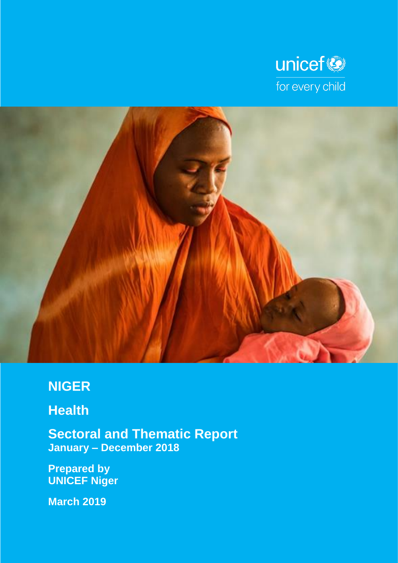



# **NIGER**

# **Health**

**Sectoral and Thematic Report January – December 2018**

**Prepared by UNICEF Niger**

**March 2019**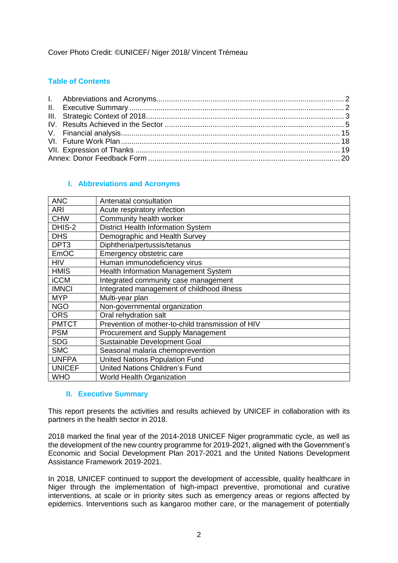# Cover Photo Credit: ©UNICEF/ Niger 2018/ Vincent Trémeau

# **Table of Contents**

## **I. Abbreviations and Acronyms**

<span id="page-1-0"></span>

| <b>ANC</b>       | Antenatal consultation                            |
|------------------|---------------------------------------------------|
| ARI              | Acute respiratory infection                       |
| <b>CHW</b>       | Community health worker                           |
| DHIS-2           | <b>District Health Information System</b>         |
| <b>DHS</b>       | Demographic and Health Survey                     |
| DPT <sub>3</sub> | Diphtheria/pertussis/tetanus                      |
| <b>EmOC</b>      | Emergency obstetric care                          |
| <b>HIV</b>       | Human immunodeficiency virus                      |
| <b>HMIS</b>      | <b>Health Information Management System</b>       |
| <b>iCCM</b>      | Integrated community case management              |
| <b>IMNCI</b>     | Integrated management of childhood illness        |
| <b>MYP</b>       | Multi-year plan                                   |
| <b>NGO</b>       | Non-governmental organization                     |
| <b>ORS</b>       | Oral rehydration salt                             |
| <b>PMTCT</b>     | Prevention of mother-to-child transmission of HIV |
| <b>PSM</b>       | Procurement and Supply Management                 |
| <b>SDG</b>       | Sustainable Development Goal                      |
| <b>SMC</b>       | Seasonal malaria chemoprevention                  |
| <b>UNFPA</b>     | <b>United Nations Population Fund</b>             |
| <b>UNICEF</b>    | <b>United Nations Children's Fund</b>             |
| <b>WHO</b>       | <b>World Health Organization</b>                  |

#### **II. Executive Summary**

<span id="page-1-1"></span>This report presents the activities and results achieved by UNICEF in collaboration with its partners in the health sector in 2018.

2018 marked the final year of the 2014-2018 UNICEF Niger programmatic cycle, as well as the development of the new country programme for 2019-2021, aligned with the Government's Economic and Social Development Plan 2017-2021 and the United Nations Development Assistance Framework 2019-2021.

In 2018, UNICEF continued to support the development of accessible, quality healthcare in Niger through the implementation of high-impact preventive, promotional and curative interventions, at scale or in priority sites such as emergency areas or regions affected by epidemics. Interventions such as kangaroo mother care, or the management of potentially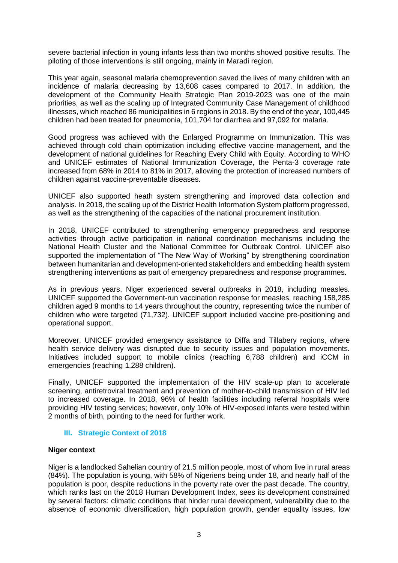severe bacterial infection in young infants less than two months showed positive results. The piloting of those interventions is still ongoing, mainly in Maradi region.

This year again, seasonal malaria chemoprevention saved the lives of many children with an incidence of malaria decreasing by 13,608 cases compared to 2017. In addition, the development of the Community Health Strategic Plan 2019-2023 was one of the main priorities, as well as the scaling up of Integrated Community Case Management of childhood illnesses, which reached 86 municipalities in 6 regions in 2018. By the end of the year, 100,445 children had been treated for pneumonia, 101,704 for diarrhea and 97,092 for malaria.

Good progress was achieved with the Enlarged Programme on Immunization. This was achieved through cold chain optimization including effective vaccine management, and the development of national guidelines for Reaching Every Child with Equity. According to WHO and UNICEF estimates of National Immunization Coverage, the Penta-3 coverage rate increased from 68% in 2014 to 81% in 2017, allowing the protection of increased numbers of children against vaccine-preventable diseases.

UNICEF also supported heath system strengthening and improved data collection and analysis. In 2018, the scaling up of the District Health Information System platform progressed, as well as the strengthening of the capacities of the national procurement institution.

In 2018, UNICEF contributed to strengthening emergency preparedness and response activities through active participation in national coordination mechanisms including the National Health Cluster and the National Committee for Outbreak Control. UNICEF also supported the implementation of "The New Way of Working" by strengthening coordination between humanitarian and development-oriented stakeholders and embedding health system strengthening interventions as part of emergency preparedness and response programmes.

As in previous years, Niger experienced several outbreaks in 2018, including measles. UNICEF supported the Government-run vaccination response for measles, reaching 158,285 children aged 9 months to 14 years throughout the country, representing twice the number of children who were targeted (71,732). UNICEF support included vaccine pre-positioning and operational support.

Moreover, UNICEF provided emergency assistance to Diffa and Tillabery regions, where health service delivery was disrupted due to security issues and population movements. Initiatives included support to mobile clinics (reaching 6,788 children) and iCCM in emergencies (reaching 1,288 children).

Finally, UNICEF supported the implementation of the HIV scale-up plan to accelerate screening, antiretroviral treatment and prevention of mother-to-child transmission of HIV led to increased coverage. In 2018, 96% of health facilities including referral hospitals were providing HIV testing services; however, only 10% of HIV-exposed infants were tested within 2 months of birth, pointing to the need for further work.

## **III. Strategic Context of 2018**

## <span id="page-2-0"></span>**Niger context**

Niger is a landlocked Sahelian country of 21.5 million people, most of whom live in rural areas (84%). The population is young, with 58% of Nigeriens being under 18, and nearly half of the population is poor, despite reductions in the poverty rate over the past decade. The country, which ranks last on the 2018 Human Development Index, sees its development constrained by several factors: climatic conditions that hinder rural development, vulnerability due to the absence of economic diversification, high population growth, gender equality issues, low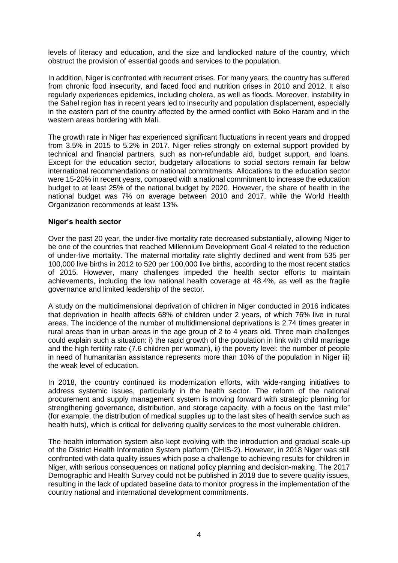levels of literacy and education, and the size and landlocked nature of the country, which obstruct the provision of essential goods and services to the population.

In addition, Niger is confronted with recurrent crises. For many years, the country has suffered from chronic food insecurity, and faced food and nutrition crises in 2010 and 2012. It also regularly experiences epidemics, including cholera, as well as floods. Moreover, instability in the Sahel region has in recent years led to insecurity and population displacement, especially in the eastern part of the country affected by the armed conflict with Boko Haram and in the western areas bordering with Mali.

The growth rate in Niger has experienced significant fluctuations in recent years and dropped from 3.5% in 2015 to 5.2% in 2017. Niger relies strongly on external support provided by technical and financial partners, such as non-refundable aid, budget support, and loans. Except for the education sector, budgetary allocations to social sectors remain far below international recommendations or national commitments. Allocations to the education sector were 15-20% in recent years, compared with a national commitment to increase the education budget to at least 25% of the national budget by 2020. However, the share of health in the national budget was 7% on average between 2010 and 2017, while the World Health Organization recommends at least 13%.

#### **Niger's health sector**

Over the past 20 year, the under-five mortality rate decreased substantially, allowing Niger to be one of the countries that reached Millennium Development Goal 4 related to the reduction of under-five mortality. The maternal mortality rate slightly declined and went from 535 per 100,000 live births in 2012 to 520 per 100,000 live births, according to the most recent statics of 2015. However, many challenges impeded the health sector efforts to maintain achievements, including the low national health coverage at 48.4%, as well as the fragile governance and limited leadership of the sector.

A study on the multidimensional deprivation of children in Niger conducted in 2016 indicates that deprivation in health affects 68% of children under 2 years, of which 76% live in rural areas. The incidence of the number of multidimensional deprivations is 2.74 times greater in rural areas than in urban areas in the age group of 2 to 4 years old. Three main challenges could explain such a situation: i) the rapid growth of the population in link with child marriage and the high fertility rate (7.6 children per woman), ii) the poverty level: the number of people in need of humanitarian assistance represents more than 10% of the population in Niger iii) the weak level of education.

In 2018, the country continued its modernization efforts, with wide-ranging initiatives to address systemic issues, particularly in the health sector. The reform of the national procurement and supply management system is moving forward with strategic planning for strengthening governance, distribution, and storage capacity, with a focus on the "last mile" (for example, the distribution of medical supplies up to the last sites of health service such as health huts), which is critical for delivering quality services to the most vulnerable children.

The health information system also kept evolving with the introduction and gradual scale-up of the District Health Information System platform (DHIS-2). However, in 2018 Niger was still confronted with data quality issues which pose a challenge to achieving results for children in Niger, with serious consequences on national policy planning and decision-making. The 2017 Demographic and Health Survey could not be published in 2018 due to severe quality issues, resulting in the lack of updated baseline data to monitor progress in the implementation of the country national and international development commitments.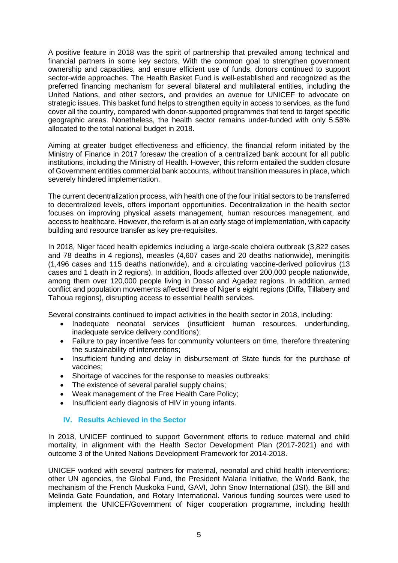A positive feature in 2018 was the spirit of partnership that prevailed among technical and financial partners in some key sectors. With the common goal to strengthen government ownership and capacities, and ensure efficient use of funds, donors continued to support sector-wide approaches. The Health Basket Fund is well-established and recognized as the preferred financing mechanism for several bilateral and multilateral entities, including the United Nations, and other sectors, and provides an avenue for UNICEF to advocate on strategic issues. This basket fund helps to strengthen equity in access to services, as the fund cover all the country, compared with donor-supported programmes that tend to target specific geographic areas. Nonetheless, the health sector remains under-funded with only 5.58% allocated to the total national budget in 2018.

Aiming at greater budget effectiveness and efficiency, the financial reform initiated by the Ministry of Finance in 2017 foresaw the creation of a centralized bank account for all public institutions, including the Ministry of Health. However, this reform entailed the sudden closure of Government entities commercial bank accounts, without transition measures in place, which severely hindered implementation.

The current decentralization process, with health one of the four initial sectors to be transferred to decentralized levels, offers important opportunities. Decentralization in the health sector focuses on improving physical assets management, human resources management, and access to healthcare. However, the reform is at an early stage of implementation, with capacity building and resource transfer as key pre-requisites.

In 2018, Niger faced health epidemics including a large-scale cholera outbreak (3,822 cases and 78 deaths in 4 regions), measles (4,607 cases and 20 deaths nationwide), meningitis (1,496 cases and 115 deaths nationwide), and a circulating vaccine-derived poliovirus (13 cases and 1 death in 2 regions). In addition, floods affected over 200,000 people nationwide, among them over 120,000 people living in Dosso and Agadez regions. In addition, armed conflict and population movements affected three of Niger's eight regions (Diffa, Tillabery and Tahoua regions), disrupting access to essential health services.

Several constraints continued to impact activities in the health sector in 2018, including:

- Inadequate neonatal services (insufficient human resources, underfunding, inadequate service delivery conditions);
- Failure to pay incentive fees for community volunteers on time, therefore threatening the sustainability of interventions;
- Insufficient funding and delay in disbursement of State funds for the purchase of vaccines;
- Shortage of vaccines for the response to measles outbreaks;
- The existence of several parallel supply chains;
- Weak management of the Free Health Care Policy;
- Insufficient early diagnosis of HIV in young infants.

## <span id="page-4-0"></span>**IV. Results Achieved in the Sector**

In 2018, UNICEF continued to support Government efforts to reduce maternal and child mortality, in alignment with the Health Sector Development Plan (2017-2021) and with outcome 3 of the United Nations Development Framework for 2014-2018.

UNICEF worked with several partners for maternal, neonatal and child health interventions: other UN agencies, the Global Fund, the President Malaria Initiative, the World Bank, the mechanism of the French Muskoka Fund, GAVI, John Snow International (JSI), the Bill and Melinda Gate Foundation, and Rotary International. Various funding sources were used to implement the UNICEF/Government of Niger cooperation programme, including health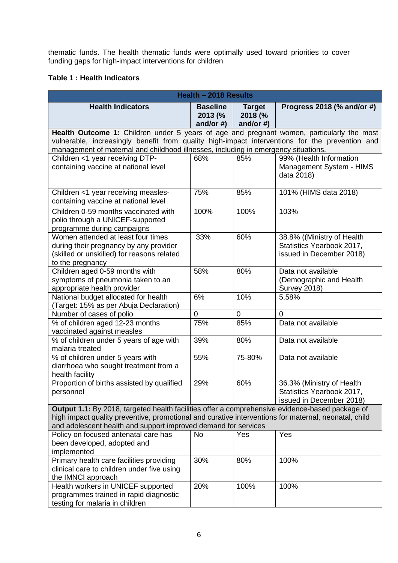thematic funds. The health thematic funds were optimally used toward priorities to cover funding gaps for high-impact interventions for children

# **Table 1 : Health Indicators**

| Health - 2018 Results                                                                                                                                                                                                                                                             |                                            |                                          |                                                                                     |  |  |
|-----------------------------------------------------------------------------------------------------------------------------------------------------------------------------------------------------------------------------------------------------------------------------------|--------------------------------------------|------------------------------------------|-------------------------------------------------------------------------------------|--|--|
| <b>Health Indicators</b>                                                                                                                                                                                                                                                          | <b>Baseline</b><br>2013 (%<br>and/or $#$ ) | <b>Target</b><br>2018 (%<br>and/or $#$ ) | Progress 2018 (% and/or #)                                                          |  |  |
| Health Outcome 1: Children under 5 years of age and pregnant women, particularly the most<br>vulnerable, increasingly benefit from quality high-impact interventions for the prevention and<br>management of maternal and childhood illnesses, including in emergency situations. |                                            |                                          |                                                                                     |  |  |
| Children <1 year receiving DTP-<br>containing vaccine at national level                                                                                                                                                                                                           | 68%                                        | 85%                                      | 99% (Health Information<br>Management System - HIMS<br>data 2018)                   |  |  |
| Children <1 year receiving measles-<br>containing vaccine at national level                                                                                                                                                                                                       | 75%                                        | 85%                                      | 101% (HIMS data 2018)                                                               |  |  |
| Children 0-59 months vaccinated with<br>polio through a UNICEF-supported<br>programme during campaigns                                                                                                                                                                            | 100%                                       | 100%                                     | 103%                                                                                |  |  |
| Women attended at least four times<br>during their pregnancy by any provider<br>(skilled or unskilled) for reasons related<br>to the pregnancy                                                                                                                                    | 33%                                        | 60%                                      | 38.8% ((Ministry of Health<br>Statistics Yearbook 2017,<br>issued in December 2018) |  |  |
| Children aged 0-59 months with<br>symptoms of pneumonia taken to an<br>appropriate health provider                                                                                                                                                                                | 58%                                        | 80%                                      | Data not available<br>(Demographic and Health<br><b>Survey 2018)</b>                |  |  |
| National budget allocated for health<br>(Target: 15% as per Abuja Declaration)                                                                                                                                                                                                    | 6%                                         | 10%                                      | 5.58%                                                                               |  |  |
| Number of cases of polio                                                                                                                                                                                                                                                          | 0                                          | $\mathbf 0$                              | $\mathbf 0$                                                                         |  |  |
| % of children aged 12-23 months<br>vaccinated against measles                                                                                                                                                                                                                     | 75%                                        | 85%                                      | Data not available                                                                  |  |  |
| % of children under 5 years of age with<br>malaria treated                                                                                                                                                                                                                        | 39%                                        | 80%                                      | Data not available                                                                  |  |  |
| % of children under 5 years with<br>diarrhoea who sought treatment from a<br>health facility                                                                                                                                                                                      | 55%                                        | 75-80%                                   | Data not available                                                                  |  |  |
| Proportion of births assisted by qualified<br>personnel                                                                                                                                                                                                                           | 29%                                        | 60%                                      | 36.3% (Ministry of Health<br>Statistics Yearbook 2017,<br>issued in December 2018)  |  |  |
| Output 1.1: By 2018, targeted health facilities offer a comprehensive evidence-based package of<br>high impact quality preventive, promotional and curative interventions for maternal, neonatal, child<br>and adolescent health and support improved demand for services         |                                            |                                          |                                                                                     |  |  |
| Policy on focused antenatal care has<br>been developed, adopted and<br>implemented                                                                                                                                                                                                | <b>No</b>                                  | Yes                                      | Yes                                                                                 |  |  |
| Primary health care facilities providing<br>clinical care to children under five using<br>the IMNCI approach                                                                                                                                                                      | 30%                                        | 80%                                      | 100%                                                                                |  |  |
| Health workers in UNICEF supported<br>programmes trained in rapid diagnostic<br>testing for malaria in children                                                                                                                                                                   | 20%                                        | 100%                                     | 100%                                                                                |  |  |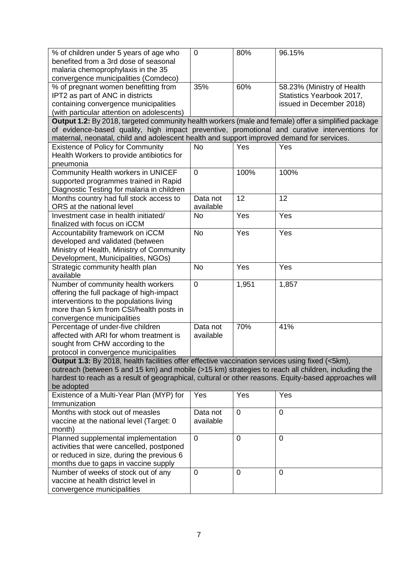| % of children under 5 years of age who                                                                | $\overline{0}$ | 80%            | 96.15%                     |
|-------------------------------------------------------------------------------------------------------|----------------|----------------|----------------------------|
| benefited from a 3rd dose of seasonal                                                                 |                |                |                            |
| malaria chemoprophylaxis in the 35                                                                    |                |                |                            |
| convergence municipalities (Comdeco)                                                                  |                |                |                            |
| % of pregnant women benefitting from                                                                  | 35%            | 60%            | 58.23% (Ministry of Health |
| IPT2 as part of ANC in districts                                                                      |                |                | Statistics Yearbook 2017,  |
| containing convergence municipalities<br>(with particular attention on adolescents)                   |                |                | issued in December 2018)   |
| Output 1.2: By 2018, targeted community health workers (male and female) offer a simplified package   |                |                |                            |
| of evidence-based quality, high impact preventive, promotional and curative interventions for         |                |                |                            |
| maternal, neonatal, child and adolescent health and support improved demand for services.             |                |                |                            |
| <b>Existence of Policy for Community</b>                                                              | <b>No</b>      | Yes            | Yes                        |
| Health Workers to provide antibiotics for                                                             |                |                |                            |
| pneumonia                                                                                             |                |                |                            |
| Community Health workers in UNICEF                                                                    | $\overline{0}$ | 100%           | 100%                       |
| supported programmes trained in Rapid                                                                 |                |                |                            |
| Diagnostic Testing for malaria in children                                                            |                |                |                            |
| Months country had full stock access to                                                               | Data not       | 12             | 12                         |
| ORS at the national level                                                                             | available      |                |                            |
| Investment case in health initiated/                                                                  | <b>No</b>      | Yes            | Yes                        |
| finalized with focus on iCCM                                                                          |                |                |                            |
| Accountability framework on iCCM                                                                      | <b>No</b>      | Yes            | Yes                        |
| developed and validated (between                                                                      |                |                |                            |
| Ministry of Health, Ministry of Community                                                             |                |                |                            |
| Development, Municipalities, NGOs)                                                                    |                |                |                            |
| Strategic community health plan                                                                       | <b>No</b>      | Yes            | Yes                        |
| available                                                                                             | $\overline{0}$ | 1,951          |                            |
| Number of community health workers<br>offering the full package of high-impact                        |                |                | 1,857                      |
| interventions to the populations living                                                               |                |                |                            |
| more than 5 km from CSI/health posts in                                                               |                |                |                            |
| convergence municipalities                                                                            |                |                |                            |
| Percentage of under-five children                                                                     | Data not       | 70%            | 41%                        |
| affected with ARI for whom treatment is                                                               | available      |                |                            |
| sought from CHW according to the                                                                      |                |                |                            |
| protocol in convergence municipalities                                                                |                |                |                            |
| Output 1.3: By 2018, health facilities offer effective vaccination services using fixed (<5km),       |                |                |                            |
| outreach (between 5 and 15 km) and mobile (>15 km) strategies to reach all children, including the    |                |                |                            |
| hardest to reach as a result of geographical, cultural or other reasons. Equity-based approaches will |                |                |                            |
| be adopted                                                                                            |                |                |                            |
| Existence of a Multi-Year Plan (MYP) for                                                              | Yes            | Yes            | Yes                        |
| Immunization                                                                                          |                |                |                            |
| Months with stock out of measles                                                                      | Data not       | $\mathbf 0$    | $\overline{0}$             |
| vaccine at the national level (Target: 0                                                              | available      |                |                            |
| month)<br>Planned supplemental implementation                                                         | $\overline{0}$ | 0              | $\overline{0}$             |
| activities that were cancelled, postponed                                                             |                |                |                            |
| or reduced in size, during the previous 6                                                             |                |                |                            |
| months due to gaps in vaccine supply                                                                  |                |                |                            |
| Number of weeks of stock out of any                                                                   | 0              | $\overline{0}$ | $\overline{0}$             |
| vaccine at health district level in                                                                   |                |                |                            |
| convergence municipalities                                                                            |                |                |                            |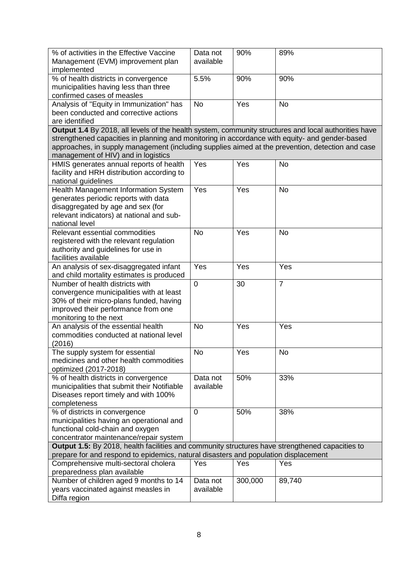| % of activities in the Effective Vaccine                                                             | Data not              | 90%     | 89%            |
|------------------------------------------------------------------------------------------------------|-----------------------|---------|----------------|
| Management (EVM) improvement plan                                                                    | available             |         |                |
| implemented                                                                                          |                       |         |                |
| % of health districts in convergence                                                                 | 5.5%                  | 90%     | 90%            |
| municipalities having less than three                                                                |                       |         |                |
| confirmed cases of measles                                                                           |                       |         |                |
| Analysis of "Equity in Immunization" has                                                             | <b>No</b>             | Yes     | <b>No</b>      |
| been conducted and corrective actions                                                                |                       |         |                |
| are identified                                                                                       |                       |         |                |
| Output 1.4 By 2018, all levels of the health system, community structures and local authorities have |                       |         |                |
| strengthened capacities in planning and monitoring in accordance with equity- and gender-based       |                       |         |                |
| approaches, in supply management (including supplies aimed at the prevention, detection and case     |                       |         |                |
| management of HIV) and in logistics                                                                  |                       |         |                |
| HMIS generates annual reports of health                                                              | Yes                   | Yes     | <b>No</b>      |
| facility and HRH distribution according to                                                           |                       |         |                |
| national guidelines                                                                                  |                       |         |                |
| Health Management Information System                                                                 | Yes                   | Yes     | <b>No</b>      |
| generates periodic reports with data                                                                 |                       |         |                |
| disaggregated by age and sex (for                                                                    |                       |         |                |
| relevant indicators) at national and sub-                                                            |                       |         |                |
| national level                                                                                       |                       |         |                |
| Relevant essential commodities                                                                       | <b>No</b>             | Yes     | <b>No</b>      |
| registered with the relevant regulation                                                              |                       |         |                |
| authority and guidelines for use in                                                                  |                       |         |                |
| facilities available                                                                                 |                       |         |                |
| An analysis of sex-disaggregated infant                                                              | Yes                   | Yes     | Yes            |
| and child mortality estimates is produced                                                            |                       |         |                |
| Number of health districts with                                                                      | $\overline{0}$        | 30      | $\overline{7}$ |
| convergence municipalities with at least                                                             |                       |         |                |
| 30% of their micro-plans funded, having                                                              |                       |         |                |
| improved their performance from one                                                                  |                       |         |                |
| monitoring to the next                                                                               |                       |         |                |
| An analysis of the essential health                                                                  | <b>No</b>             | Yes     | Yes            |
| commodities conducted at national level                                                              |                       |         |                |
| (2016)                                                                                               |                       |         |                |
| The supply system for essential                                                                      | <b>No</b>             | Yes     | <b>No</b>      |
| medicines and other health commodities                                                               |                       |         |                |
| optimized (2017-2018)                                                                                |                       |         |                |
| % of health districts in convergence                                                                 | Data not              | 50%     | 33%            |
| municipalities that submit their Notifiable                                                          | available             |         |                |
| Diseases report timely and with 100%                                                                 |                       |         |                |
| completeness                                                                                         |                       |         |                |
| % of districts in convergence                                                                        | 0                     | 50%     | 38%            |
| municipalities having an operational and                                                             |                       |         |                |
| functional cold-chain and oxygen                                                                     |                       |         |                |
| concentrator maintenance/repair system                                                               |                       |         |                |
| Output 1.5: By 2018, health facilities and community structures have strengthened capacities to      |                       |         |                |
| prepare for and respond to epidemics, natural disasters and population displacement                  |                       |         |                |
| Comprehensive multi-sectoral cholera                                                                 | Yes                   | Yes     | Yes            |
| preparedness plan available                                                                          |                       |         |                |
| Number of children aged 9 months to 14                                                               | Data not<br>available | 300,000 | 89,740         |
| years vaccinated against measles in<br>Diffa region                                                  |                       |         |                |
|                                                                                                      |                       |         |                |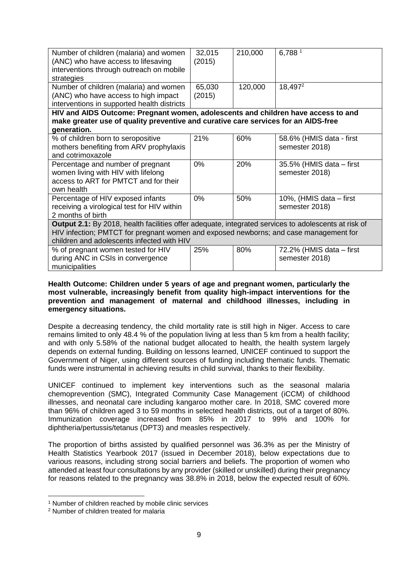| Number of children (malaria) and women<br>(ANC) who have access to lifesaving<br>interventions through outreach on mobile<br>strategies                                                                                                     | 32,015<br>(2015) | 210,000 | 6,788 <sup>1</sup>                         |  |
|---------------------------------------------------------------------------------------------------------------------------------------------------------------------------------------------------------------------------------------------|------------------|---------|--------------------------------------------|--|
| Number of children (malaria) and women<br>(ANC) who have access to high impact<br>interventions in supported health districts                                                                                                               | 65,030<br>(2015) | 120,000 | 18,497 <sup>2</sup>                        |  |
| HIV and AIDS Outcome: Pregnant women, adolescents and children have access to and                                                                                                                                                           |                  |         |                                            |  |
| make greater use of quality preventive and curative care services for an AIDS-free                                                                                                                                                          |                  |         |                                            |  |
| generation.                                                                                                                                                                                                                                 |                  |         |                                            |  |
| % of children born to seropositive<br>mothers benefiting from ARV prophylaxis<br>and cotrimoxazole                                                                                                                                          | 21%              | 60%     | 58.6% (HMIS data - first<br>semester 2018) |  |
| Percentage and number of pregnant<br>women living with HIV with lifelong<br>access to ART for PMTCT and for their<br>own health                                                                                                             | 0%               | 20%     | 35.5% (HMIS data – first<br>semester 2018) |  |
| Percentage of HIV exposed infants<br>receiving a virological test for HIV within<br>2 months of birth                                                                                                                                       | 0%               | 50%     | 10%, (HMIS data – first<br>semester 2018)  |  |
| Output 2.1: By 2018, health facilities offer adequate, integrated services to adolescents at risk of<br>HIV infection; PMTCT for pregnant women and exposed newborns; and case management for<br>children and adolescents infected with HIV |                  |         |                                            |  |
| % of pregnant women tested for HIV<br>during ANC in CSIs in convergence<br>municipalities                                                                                                                                                   | 25%              | 80%     | 72.2% (HMIS data – first<br>semester 2018) |  |

#### **Health Outcome: Children under 5 years of age and pregnant women, particularly the most vulnerable, increasingly benefit from quality high-impact interventions for the prevention and management of maternal and childhood illnesses, including in emergency situations.**

Despite a decreasing tendency, the child mortality rate is still high in Niger. Access to care remains limited to only 48.4 % of the population living at less than 5 km from a health facility; and with only 5.58% of the national budget allocated to health, the health system largely depends on external funding. Building on lessons learned, UNICEF continued to support the Government of Niger, using different sources of funding including thematic funds. Thematic funds were instrumental in achieving results in child survival, thanks to their flexibility.

UNICEF continued to implement key interventions such as the seasonal malaria chemoprevention (SMC), Integrated Community Case Management (iCCM) of childhood illnesses, and neonatal care including kangaroo mother care. In 2018, SMC covered more than 96% of children aged 3 to 59 months in selected health districts, out of a target of 80%. Immunization coverage increased from 85% in 2017 to 99% and 100% for diphtheria/pertussis/tetanus (DPT3) and measles respectively.

The proportion of births assisted by qualified personnel was 36.3% as per the Ministry of Health Statistics Yearbook 2017 (issued in December 2018), below expectations due to various reasons, including strong social barriers and beliefs. The proportion of women who attended at least four consultations by any provider (skilled or unskilled) during their pregnancy for reasons related to the pregnancy was 38.8% in 2018, below the expected result of 60%.

<u>.</u>

<sup>1</sup> Number of children reached by mobile clinic services

<sup>2</sup> Number of children treated for malaria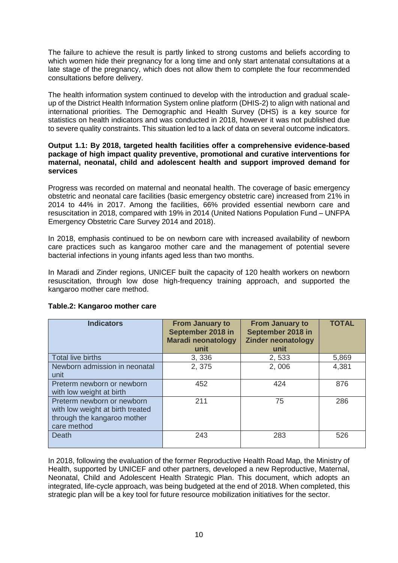The failure to achieve the result is partly linked to strong customs and beliefs according to which women hide their pregnancy for a long time and only start antenatal consultations at a late stage of the pregnancy, which does not allow them to complete the four recommended consultations before delivery.

The health information system continued to develop with the introduction and gradual scaleup of the District Health Information System online platform (DHIS-2) to align with national and international priorities. The Demographic and Health Survey (DHS) is a key source for statistics on health indicators and was conducted in 2018, however it was not published due to severe quality constraints. This situation led to a lack of data on several outcome indicators.

#### **Output 1.1: By 2018, targeted health facilities offer a comprehensive evidence-based package of high impact quality preventive, promotional and curative interventions for maternal, neonatal, child and adolescent health and support improved demand for services**

Progress was recorded on maternal and neonatal health. The coverage of basic emergency obstetric and neonatal care facilities (basic emergency obstetric care) increased from 21% in 2014 to 44% in 2017. Among the facilities, 66% provided essential newborn care and resuscitation in 2018, compared with 19% in 2014 (United Nations Population Fund – UNFPA Emergency Obstetric Care Survey 2014 and 2018).

In 2018, emphasis continued to be on newborn care with increased availability of newborn care practices such as kangaroo mother care and the management of potential severe bacterial infections in young infants aged less than two months.

In Maradi and Zinder regions, UNICEF built the capacity of 120 health workers on newborn resuscitation, through low dose high-frequency training approach, and supported the kangaroo mother care method.

| <b>Indicators</b>                                                                                            | <b>From January to</b><br>September 2018 in<br><b>Maradi neonatology</b><br>unit | <b>From January to</b><br>September 2018 in<br><b>Zinder neonatology</b><br>unit | <b>TOTAL</b> |
|--------------------------------------------------------------------------------------------------------------|----------------------------------------------------------------------------------|----------------------------------------------------------------------------------|--------------|
| Total live births                                                                                            | 3,336                                                                            | 2,533                                                                            | 5,869        |
| Newborn admission in neonatal<br>unit                                                                        | 2,375                                                                            | 2,006                                                                            | 4,381        |
| Preterm newborn or newborn<br>with low weight at birth                                                       | 452                                                                              | 424                                                                              | 876          |
| Preterm newborn or newborn<br>with low weight at birth treated<br>through the kangaroo mother<br>care method | 211                                                                              | 75                                                                               | 286          |
| Death                                                                                                        | 243                                                                              | 283                                                                              | 526          |

# **Table.2: Kangaroo mother care**

In 2018, following the evaluation of the former Reproductive Health Road Map, the Ministry of Health, supported by UNICEF and other partners, developed a new Reproductive, Maternal, Neonatal, Child and Adolescent Health Strategic Plan. This document, which adopts an integrated, life-cycle approach, was being budgeted at the end of 2018. When completed, this strategic plan will be a key tool for future resource mobilization initiatives for the sector.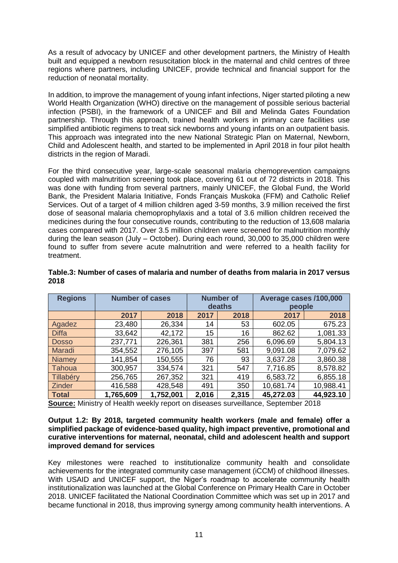As a result of advocacy by UNICEF and other development partners, the Ministry of Health built and equipped a newborn resuscitation block in the maternal and child centres of three regions where partners, including UNICEF, provide technical and financial support for the reduction of neonatal mortality.

In addition, to improve the management of young infant infections, Niger started piloting a new World Health Organization (WHO) directive on the management of possible serious bacterial infection (PSBI), in the framework of a UNICEF and Bill and Melinda Gates Foundation partnership. Through this approach, trained health workers in primary care facilities use simplified antibiotic regimens to treat sick newborns and young infants on an outpatient basis. This approach was integrated into the new National Strategic Plan on Maternal, Newborn, Child and Adolescent health, and started to be implemented in April 2018 in four pilot health districts in the region of Maradi.

For the third consecutive year, large-scale seasonal malaria chemoprevention campaigns coupled with malnutrition screening took place, covering 61 out of 72 districts in 2018. This was done with funding from several partners, mainly UNICEF, the Global Fund, the World Bank, the President Malaria Initiative, Fonds Français Muskoka (FFM) and Catholic Relief Services. Out of a target of 4 million children aged 3-59 months, 3.9 million received the first dose of seasonal malaria chemoprophylaxis and a total of 3.6 million children received the medicines during the four consecutive rounds, contributing to the reduction of 13,608 malaria cases compared with 2017. Over 3.5 million children were screened for malnutrition monthly during the lean season (July – October). During each round, 30,000 to 35,000 children were found to suffer from severe acute malnutrition and were referred to a health facility for treatment.

| <b>Regions</b> | <b>Number of cases</b> |           | <b>Number of</b><br>deaths |       | Average cases /100,000<br>people |           |
|----------------|------------------------|-----------|----------------------------|-------|----------------------------------|-----------|
|                | 2017                   | 2018      | 2017                       | 2018  | 2017                             | 2018      |
| Agadez         | 23,480                 | 26,334    | 14                         | 53    | 602.05                           | 675.23    |
| <b>Diffa</b>   | 33,642                 | 42,172    | 15                         | 16    | 862.62                           | 1,081.33  |
| <b>Dosso</b>   | 237,771                | 226,361   | 381                        | 256   | 6,096.69                         | 5,804.13  |
| Maradi         | 354,552                | 276,105   | 397                        | 581   | 9,091.08                         | 7,079.62  |
| <b>Niamey</b>  | 141,854                | 150,555   | 76                         | 93    | 3,637.28                         | 3,860.38  |
| Tahoua         | 300,957                | 334,574   | 321                        | 547   | 7,716.85                         | 8,578.82  |
| Tillabéry      | 256,765                | 267,352   | 321                        | 419   | 6,583.72                         | 6,855.18  |
| <b>Zinder</b>  | 416,588                | 428,548   | 491                        | 350   | 10,681.74                        | 10,988.41 |
| <b>Total</b>   | 1,765,609              | 1,752,001 | 2,016                      | 2,315 | 45,272.03                        | 44,923.10 |

## **Table.3: Number of cases of malaria and number of deaths from malaria in 2017 versus 2018**

**Source:** Ministry of Health weekly report on diseases surveillance, September 2018

#### **Output 1.2: By 2018, targeted community health workers (male and female) offer a simplified package of evidence-based quality, high impact preventive, promotional and curative interventions for maternal, neonatal, child and adolescent health and support improved demand for services**

Key milestones were reached to institutionalize community health and consolidate achievements for the integrated community case management (iCCM) of childhood illnesses. With USAID and UNICEF support, the Niger's roadmap to accelerate community health institutionalization was launched at the Global Conference on Primary Health Care in October 2018. UNICEF facilitated the National Coordination Committee which was set up in 2017 and became functional in 2018, thus improving synergy among community health interventions. A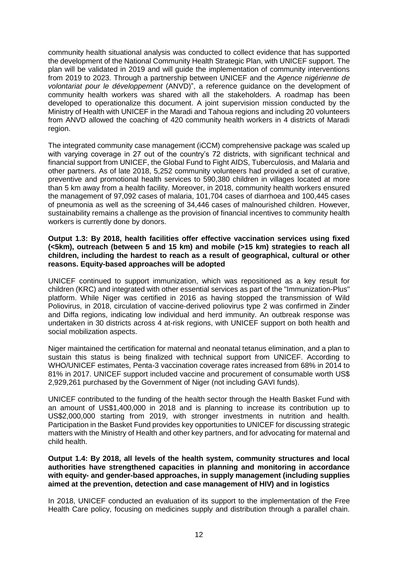community health situational analysis was conducted to collect evidence that has supported the development of the National Community Health Strategic Plan, with UNICEF support. The plan will be validated in 2019 and will guide the implementation of community interventions from 2019 to 2023. Through a partnership between UNICEF and the *Agence nigérienne de volontariat pour le développement* (ANVD)", a reference guidance on the development of community health workers was shared with all the stakeholders. A roadmap has been developed to operationalize this document. A joint supervision mission conducted by the Ministry of Health with UNICEF in the Maradi and Tahoua regions and including 20 volunteers from ANVD allowed the coaching of 420 community health workers in 4 districts of Maradi region.

The integrated community case management (iCCM) comprehensive package was scaled up with varying coverage in 27 out of the country's 72 districts, with significant technical and financial support from UNICEF, the Global Fund to Fight AIDS, Tuberculosis, and Malaria and other partners. As of late 2018, 5,252 community volunteers had provided a set of curative, preventive and promotional health services to 590,380 children in villages located at more than 5 km away from a health facility. Moreover, in 2018, community health workers ensured the management of 97,092 cases of malaria, 101,704 cases of diarrhoea and 100,445 cases of pneumonia as well as the screening of 34,446 cases of malnourished children. However, sustainability remains a challenge as the provision of financial incentives to community health workers is currently done by donors.

#### **Output 1.3: By 2018, health facilities offer effective vaccination services using fixed (<5km), outreach (between 5 and 15 km) and mobile (>15 km) strategies to reach all children, including the hardest to reach as a result of geographical, cultural or other reasons. Equity-based approaches will be adopted**

UNICEF continued to support immunization, which was repositioned as a key result for children (KRC) and integrated with other essential services as part of the "Immunization-Plus" platform. While Niger was certified in 2016 as having stopped the transmission of Wild Poliovirus, in 2018, circulation of vaccine-derived poliovirus type 2 was confirmed in Zinder and Diffa regions, indicating low individual and herd immunity. An outbreak response was undertaken in 30 districts across 4 at-risk regions, with UNICEF support on both health and social mobilization aspects.

Niger maintained the certification for maternal and neonatal tetanus elimination, and a plan to sustain this status is being finalized with technical support from UNICEF. According to WHO/UNICEF estimates, Penta-3 vaccination coverage rates increased from 68% in 2014 to 81% in 2017. UNICEF support included vaccine and procurement of consumable worth US\$ 2,929,261 purchased by the Government of Niger (not including GAVI funds).

UNICEF contributed to the funding of the health sector through the Health Basket Fund with an amount of US\$1,400,000 in 2018 and is planning to increase its contribution up to US\$2,000,000 starting from 2019, with stronger investments in nutrition and health. Participation in the Basket Fund provides key opportunities to UNICEF for discussing strategic matters with the Ministry of Health and other key partners, and for advocating for maternal and child health.

**Output 1.4: By 2018, all levels of the health system, community structures and local authorities have strengthened capacities in planning and monitoring in accordance with equity- and gender-based approaches, in supply management (including supplies aimed at the prevention, detection and case management of HIV) and in logistics**

In 2018, UNICEF conducted an evaluation of its support to the implementation of the Free Health Care policy, focusing on medicines supply and distribution through a parallel chain.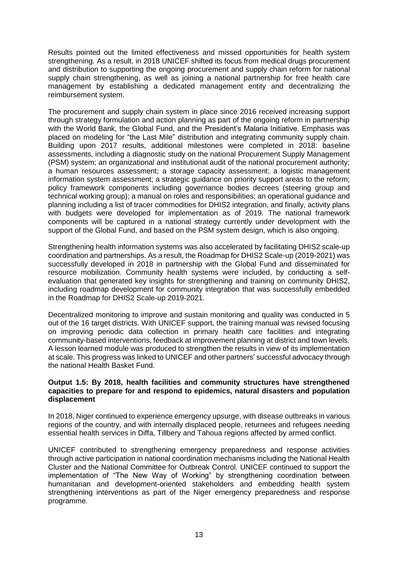Results pointed out the limited effectiveness and missed opportunities for health system strengthening. As a result, in 2018 UNICEF shifted its focus from medical drugs procurement and distribution to supporting the ongoing procurement and supply chain reform for national supply chain strengthening, as well as joining a national partnership for free health care management by establishing a dedicated management entity and decentralizing the reimbursement system.

The procurement and supply chain system in place since 2016 received increasing support through strategy formulation and action planning as part of the ongoing reform in partnership with the World Bank, the Global Fund, and the President's Malaria Initiative. Emphasis was placed on modeling for "the Last Mile" distribution and integrating community supply chain. Building upon 2017 results, additional milestones were completed in 2018: baseline assessments, including a diagnostic study on the national Procurement Supply Management (PSM) system; an organizational and institutional audit of the national procurement authority; a human resources assessment; a storage capacity assessment; a logistic management information system assessment; a strategic guidance on priority support areas to the reform; policy framework components including governance bodies decrees (steering group and technical working group); a manual on roles and responsibilities; an operational guidance and planning including a list of tracer commodities for DHIS2 integration, and finally, activity plans with budgets were developed for implementation as of 2019. The national framework components will be captured in a national strategy currently under development with the support of the Global Fund, and based on the PSM system design, which is also ongoing.

Strengthening health information systems was also accelerated by facilitating DHIS2 scale-up coordination and partnerships. As a result, the Roadmap for DHIS2 Scale-up (2019-2021) was successfully developed in 2018 in partnership with the Global Fund and disseminated for resource mobilization. Community health systems were included, by conducting a selfevaluation that generated key insights for strengthening and training on community DHIS2, including roadmap development for community integration that was successfully embedded in the Roadmap for DHIS2 Scale-up 2019-2021.

Decentralized monitoring to improve and sustain monitoring and quality was conducted in 5 out of the 16 target districts. With UNICEF support, the training manual was revised focusing on improving periodic data collection in primary health care facilities and integrating community-based interventions, feedback at improvement planning at district and town levels. A lesson learned module was produced to strengthen the results in view of its implementation at scale. This progress was linked to UNICEF and other partners' successful advocacy through the national Health Basket Fund.

#### **Output 1.5: By 2018, health facilities and community structures have strengthened capacities to prepare for and respond to epidemics, natural disasters and population displacement**

In 2018, Niger continued to experience emergency upsurge, with disease outbreaks in various regions of the country, and with internally displaced people, returnees and refugees needing essential health services in Diffa, Tillbery and Tahoua regions affected by armed conflict.

UNICEF contributed to strengthening emergency preparedness and response activities through active participation in national coordination mechanisms including the National Health Cluster and the National Committee for Outbreak Control. UNICEF continued to support the implementation of "The New Way of Working" by strengthening coordination between humanitarian and development-oriented stakeholders and embedding health system strengthening interventions as part of the Niger emergency preparedness and response programme.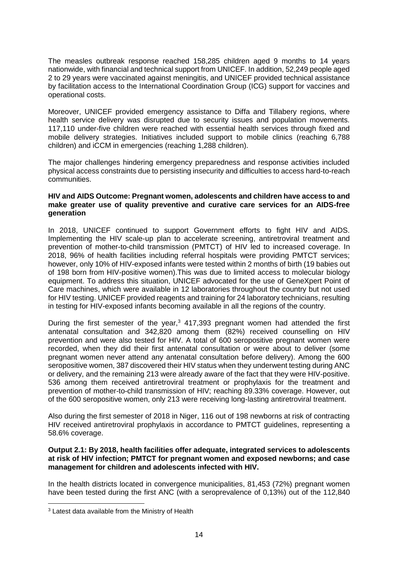The measles outbreak response reached 158,285 children aged 9 months to 14 years nationwide, with financial and technical support from UNICEF. In addition, 52,249 people aged 2 to 29 years were vaccinated against meningitis, and UNICEF provided technical assistance by facilitation access to the International Coordination Group (ICG) support for vaccines and operational costs.

Moreover, UNICEF provided emergency assistance to Diffa and Tillabery regions, where health service delivery was disrupted due to security issues and population movements. 117,110 under-five children were reached with essential health services through fixed and mobile delivery strategies. Initiatives included support to mobile clinics (reaching 6,788 children) and iCCM in emergencies (reaching 1,288 children).

The major challenges hindering emergency preparedness and response activities included physical access constraints due to persisting insecurity and difficulties to access hard-to-reach communities.

#### **HIV and AIDS Outcome: Pregnant women, adolescents and children have access to and make greater use of quality preventive and curative care services for an AIDS-free generation**

In 2018, UNICEF continued to support Government efforts to fight HIV and AIDS. Implementing the HIV scale-up plan to accelerate screening, antiretroviral treatment and prevention of mother-to-child transmission (PMTCT) of HIV led to increased coverage. In 2018, 96% of health facilities including referral hospitals were providing PMTCT services; however, only 10% of HIV-exposed infants were tested within 2 months of birth (19 babies out of 198 born from HIV-positive women).This was due to limited access to molecular biology equipment. To address this situation, UNICEF advocated for the use of GeneXpert Point of Care machines, which were available in 12 laboratories throughout the country but not used for HIV testing. UNICEF provided reagents and training for 24 laboratory technicians, resulting in testing for HIV-exposed infants becoming available in all the regions of the country.

During the first semester of the year, $3$  417,393 pregnant women had attended the first antenatal consultation and 342,820 among them (82%) received counselling on HIV prevention and were also tested for HIV. A total of 600 seropositive pregnant women were recorded, when they did their first antenatal consultation or were about to deliver (some pregnant women never attend any antenatal consultation before delivery). Among the 600 seropositive women, 387 discovered their HIV status when they underwent testing during ANC or delivery, and the remaining 213 were already aware of the fact that they were HIV-positive. 536 among them received antiretroviral treatment or prophylaxis for the treatment and prevention of mother-to-child transmission of HIV; reaching 89.33% coverage. However, out of the 600 seropositive women, only 213 were receiving long-lasting antiretroviral treatment.

Also during the first semester of 2018 in Niger, 116 out of 198 newborns at risk of contracting HIV received antiretroviral prophylaxis in accordance to PMTCT guidelines, representing a 58.6% coverage.

#### **Output 2.1: By 2018, health facilities offer adequate, integrated services to adolescents at risk of HIV infection; PMTCT for pregnant women and exposed newborns; and case management for children and adolescents infected with HIV.**

In the health districts located in convergence municipalities, 81,453 (72%) pregnant women have been tested during the first ANC (with a seroprevalence of 0,13%) out of the 112,840

1

<sup>3</sup> Latest data available from the Ministry of Health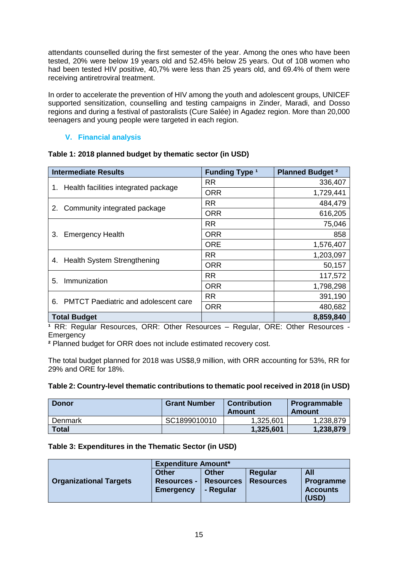attendants counselled during the first semester of the year. Among the ones who have been tested, 20% were below 19 years old and 52.45% below 25 years. Out of 108 women who had been tested HIV positive, 40,7% were less than 25 years old, and 69.4% of them were receiving antiretroviral treatment.

In order to accelerate the prevention of HIV among the youth and adolescent groups, UNICEF supported sensitization, counselling and testing campaigns in Zinder, Maradi, and Dosso regions and during a festival of pastoralists (Cure Salée) in Agadez region. More than 20,000 teenagers and young people were targeted in each region.

# **V. Financial analysis**

| <b>Intermediate Results</b>                       | <b>Funding Type 1</b> | <b>Planned Budget 2</b> |
|---------------------------------------------------|-----------------------|-------------------------|
|                                                   | <b>RR</b>             | 336,407                 |
| 1. Health facilities integrated package           | <b>ORR</b>            | 1,729,441               |
| 2. Community integrated package                   | <b>RR</b>             | 484,479                 |
|                                                   | <b>ORR</b>            | 616,205                 |
|                                                   | <b>RR</b>             | 75,046                  |
| <b>Emergency Health</b><br>3.                     | <b>ORR</b>            | 858                     |
|                                                   | <b>ORE</b>            | 1,576,407               |
|                                                   | <b>RR</b>             | 1,203,097               |
| 4. Health System Strengthening                    | <b>ORR</b>            | 50,157                  |
| Immunization<br>5.                                | <b>RR</b>             | 117,572                 |
|                                                   | <b>ORR</b>            | 1,798,298               |
| <b>PMTCT Paediatric and adolescent care</b><br>6. | <b>RR</b>             | 391,190                 |
|                                                   | <b>ORR</b>            | 480,682                 |
| <b>Total Budget</b>                               |                       | 8,859,840               |

## <span id="page-14-0"></span>**Table 1: 2018 planned budget by thematic sector (in USD)**

**¹** RR: Regular Resources, ORR: Other Resources – Regular, ORE: Other Resources - **Emergency** 

**²** Planned budget for ORR does not include estimated recovery cost.

The total budget planned for 2018 was US\$8,9 million, with ORR accounting for 53%, RR for 29% and ORE for 18%.

## **Table 2: Country-level thematic contributions to thematic pool received in 2018 (in USD)**

| <b>Donor</b> | <b>Grant Number</b> | <b>Contribution</b><br>Amount | Programmable<br>Amount |
|--------------|---------------------|-------------------------------|------------------------|
| Denmark      | SC1899010010        | 1,325,601                     | 1,238,879              |
| <b>Total</b> |                     | 1,325,601                     | 1,238,879              |

## **Table 3: Expenditures in the Thematic Sector (in USD)**

|                               | <b>Expenditure Amount*</b> |                  |                  |                 |  |
|-------------------------------|----------------------------|------------------|------------------|-----------------|--|
|                               | <b>Other</b>               | <b>Other</b>     | Regular          | <b>All</b>      |  |
| <b>Organizational Targets</b> | <b>Resources -</b>         | <b>Resources</b> | <b>Resources</b> | Programme       |  |
|                               | <b>Emergency</b>           | - Regular        |                  | <b>Accounts</b> |  |
|                               |                            |                  |                  | (USD)           |  |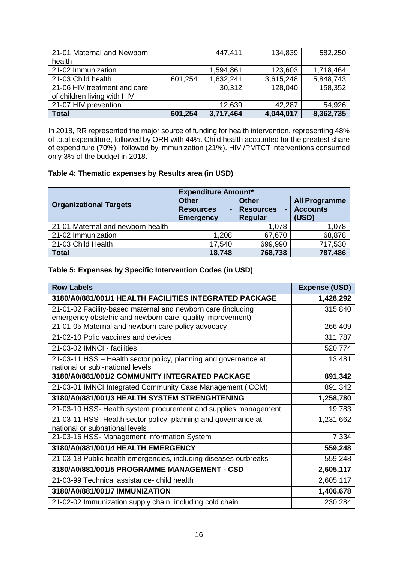| 21-01 Maternal and Newborn   |         | 447,411   | 134,839   | 582,250   |
|------------------------------|---------|-----------|-----------|-----------|
| health                       |         |           |           |           |
| 21-02 Immunization           |         | 1,594,861 | 123,603   | 1,718,464 |
| 21-03 Child health           | 601,254 | 1,632,241 | 3,615,248 | 5,848,743 |
| 21-06 HIV treatment and care |         | 30,312    | 128,040   | 158,352   |
| of children living with HIV  |         |           |           |           |
| 21-07 HIV prevention         |         | 12,639    | 42,287    | 54,926    |
| <b>Total</b>                 | 601,254 | 3,717,464 | 4,044,017 | 8,362,735 |

In 2018, RR represented the major source of funding for health intervention, representing 48% of total expenditure, followed by ORR with 44%. Child health accounted for the greatest share of expenditure (70%) , followed by immunization (21%). HIV /PMTCT interventions consumed only 3% of the budget in 2018.

# **Table 4: Thematic expenses by Results area (in USD)**

|                                   | <b>Expenditure Amount*</b>                                 |                                             |                                                  |  |
|-----------------------------------|------------------------------------------------------------|---------------------------------------------|--------------------------------------------------|--|
| <b>Organizational Targets</b>     | <b>Other</b><br><b>Resources</b><br>۰.<br><b>Emergency</b> | <b>Other</b><br><b>Resources</b><br>Regular | <b>All Programme</b><br><b>Accounts</b><br>(USD) |  |
| 21-01 Maternal and newborn health |                                                            | 1,078                                       | 1,078                                            |  |
| 21-02 Immunization                | 1,208                                                      | 67,670                                      | 68,878                                           |  |
| 21-03 Child Health                | 17,540                                                     | 699,990                                     | 717,530                                          |  |
| <b>Total</b>                      | 18,748                                                     | 768,738                                     | 787,486                                          |  |

# **Table 5: Expenses by Specific Intervention Codes (in USD)**

| <b>Row Labels</b>                                                                                                          | <b>Expense (USD)</b> |
|----------------------------------------------------------------------------------------------------------------------------|----------------------|
| 3180/A0/881/001/1 HEALTH FACILITIES INTEGRATED PACKAGE                                                                     | 1,428,292            |
| 21-01-02 Facility-based maternal and newborn care (including<br>emergency obstetric and newborn care, quality improvement) | 315,840              |
| 21-01-05 Maternal and newborn care policy advocacy                                                                         | 266,409              |
| 21-02-10 Polio vaccines and devices                                                                                        | 311,787              |
| 21-03-02 IMNCI - facilities                                                                                                | 520,774              |
| 21-03-11 HSS - Health sector policy, planning and governance at<br>national or sub -national levels                        | 13,481               |
| 3180/A0/881/001/2 COMMUNITY INTEGRATED PACKAGE                                                                             | 891,342              |
| 21-03-01 IMNCI Integrated Community Case Management (iCCM)                                                                 | 891,342              |
| 3180/A0/881/001/3 HEALTH SYSTEM STRENGHTENING                                                                              | 1,258,780            |
| 21-03-10 HSS- Health system procurement and supplies management                                                            | 19,783               |
| 21-03-11 HSS- Health sector policy, planning and governance at<br>national or subnational levels                           | 1,231,662            |
| 21-03-16 HSS- Management Information System                                                                                | 7,334                |
| 3180/A0/881/001/4 HEALTH EMERGENCY                                                                                         | 559,248              |
| 21-03-18 Public health emergencies, including diseases outbreaks                                                           | 559,248              |
| 3180/A0/881/001/5 PROGRAMME MANAGEMENT - CSD                                                                               | 2,605,117            |
| 21-03-99 Technical assistance- child health                                                                                | 2,605,117            |
| 3180/A0/881/001/7 IMMUNIZATION                                                                                             | 1,406,678            |
| 21-02-02 Immunization supply chain, including cold chain                                                                   | 230,284              |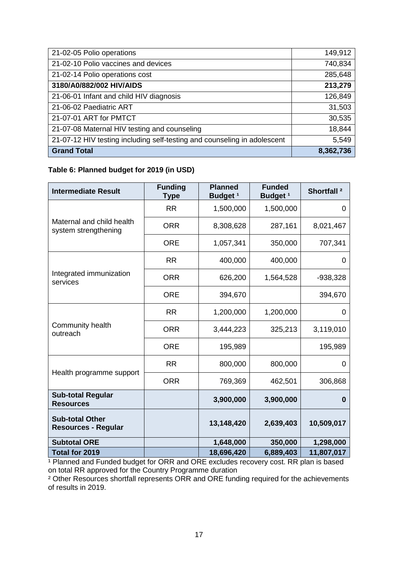| 21-02-05 Polio operations                                                | 149,912   |
|--------------------------------------------------------------------------|-----------|
| 21-02-10 Polio vaccines and devices                                      | 740,834   |
| 21-02-14 Polio operations cost                                           | 285,648   |
| 3180/A0/882/002 HIV/AIDS                                                 | 213,279   |
| 21-06-01 Infant and child HIV diagnosis                                  | 126,849   |
| 21-06-02 Paediatric ART                                                  | 31,503    |
| 21-07-01 ART for PMTCT                                                   | 30,535    |
| 21-07-08 Maternal HIV testing and counseling                             | 18,844    |
| 21-07-12 HIV testing including self-testing and counseling in adolescent | 5,549     |
| <b>Grand Total</b>                                                       | 8,362,736 |

# **Table 6: Planned budget for 2019 (in USD)**

| <b>Intermediate Result</b>                           | <b>Funding</b><br><b>Type</b> | <b>Planned</b><br>Budget <sup>1</sup> | <b>Funded</b><br>Budget <sup>1</sup> | Shortfall <sup>2</sup> |
|------------------------------------------------------|-------------------------------|---------------------------------------|--------------------------------------|------------------------|
| Maternal and child health<br>system strengthening    | <b>RR</b>                     | 1,500,000                             | 1,500,000                            | 0                      |
|                                                      | <b>ORR</b>                    | 8,308,628                             | 287,161                              | 8,021,467              |
|                                                      | <b>ORE</b>                    | 1,057,341                             | 350,000                              | 707,341                |
| Integrated immunization<br>services                  | <b>RR</b>                     | 400,000                               | 400,000                              | 0                      |
|                                                      | <b>ORR</b>                    | 626,200                               | 1,564,528                            | $-938,328$             |
|                                                      | <b>ORE</b>                    | 394,670                               |                                      | 394,670                |
| Community health<br>outreach                         | <b>RR</b>                     | 1,200,000                             | 1,200,000                            | 0                      |
|                                                      | <b>ORR</b>                    | 3,444,223                             | 325,213                              | 3,119,010              |
|                                                      | <b>ORE</b>                    | 195,989                               |                                      | 195,989                |
| Health programme support                             | <b>RR</b>                     | 800,000                               | 800,000                              | 0                      |
|                                                      | <b>ORR</b>                    | 769,369                               | 462,501                              | 306,868                |
| <b>Sub-total Regular</b><br><b>Resources</b>         |                               | 3,900,000                             | 3,900,000                            | $\bf{0}$               |
| <b>Sub-total Other</b><br><b>Resources - Regular</b> |                               | 13,148,420                            | 2,639,403                            | 10,509,017             |
| <b>Subtotal ORE</b>                                  |                               | 1,648,000                             | 350,000                              | 1,298,000              |
| Total for 2019                                       |                               | 18,696,420                            | 6,889,403                            | 11,807,017             |

<sup>1</sup> Planned and Funded budget for ORR and ORE excludes recovery cost. RR plan is based on total RR approved for the Country Programme duration

<sup>2</sup> Other Resources shortfall represents ORR and ORE funding required for the achievements of results in 2019.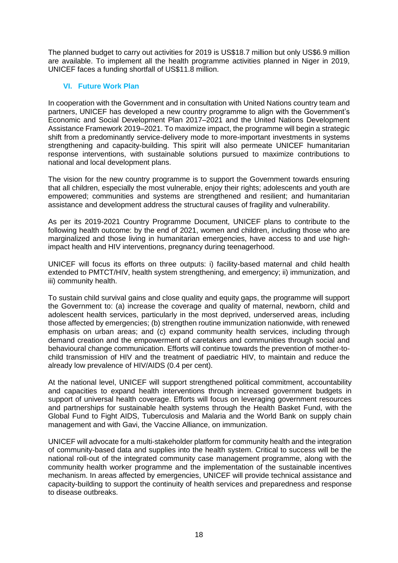The planned budget to carry out activities for 2019 is US\$18.7 million but only US\$6.9 million are available. To implement all the health programme activities planned in Niger in 2019, UNICEF faces a funding shortfall of US\$11.8 million.

# **VI. Future Work Plan**

<span id="page-17-0"></span>In cooperation with the Government and in consultation with United Nations country team and partners, UNICEF has developed a new country programme to align with the Government's Economic and Social Development Plan 2017–2021 and the United Nations Development Assistance Framework 2019–2021. To maximize impact, the programme will begin a strategic shift from a predominantly service-delivery mode to more-important investments in systems strengthening and capacity-building. This spirit will also permeate UNICEF humanitarian response interventions, with sustainable solutions pursued to maximize contributions to national and local development plans.

The vision for the new country programme is to support the Government towards ensuring that all children, especially the most vulnerable, enjoy their rights; adolescents and youth are empowered; communities and systems are strengthened and resilient; and humanitarian assistance and development address the structural causes of fragility and vulnerability.

As per its 2019-2021 Country Programme Document, UNICEF plans to contribute to the following health outcome: by the end of 2021, women and children, including those who are marginalized and those living in humanitarian emergencies, have access to and use highimpact health and HIV interventions, pregnancy during teenagerhood.

UNICEF will focus its efforts on three outputs: i) facility-based maternal and child health extended to PMTCT/HIV, health system strengthening, and emergency; ii) immunization, and iii) community health.

To sustain child survival gains and close quality and equity gaps, the programme will support the Government to: (a) increase the coverage and quality of maternal, newborn, child and adolescent health services, particularly in the most deprived, underserved areas, including those affected by emergencies; (b) strengthen routine immunization nationwide, with renewed emphasis on urban areas; and (c) expand community health services, including through demand creation and the empowerment of caretakers and communities through social and behavioural change communication. Efforts will continue towards the prevention of mother-tochild transmission of HIV and the treatment of paediatric HIV, to maintain and reduce the already low prevalence of HIV/AIDS (0.4 per cent).

At the national level, UNICEF will support strengthened political commitment, accountability and capacities to expand health interventions through increased government budgets in support of universal health coverage. Efforts will focus on leveraging government resources and partnerships for sustainable health systems through the Health Basket Fund, with the Global Fund to Fight AIDS, Tuberculosis and Malaria and the World Bank on supply chain management and with Gavi, the Vaccine Alliance, on immunization.

UNICEF will advocate for a multi-stakeholder platform for community health and the integration of community-based data and supplies into the health system. Critical to success will be the national roll-out of the integrated community case management programme, along with the community health worker programme and the implementation of the sustainable incentives mechanism. In areas affected by emergencies, UNICEF will provide technical assistance and capacity-building to support the continuity of health services and preparedness and response to disease outbreaks.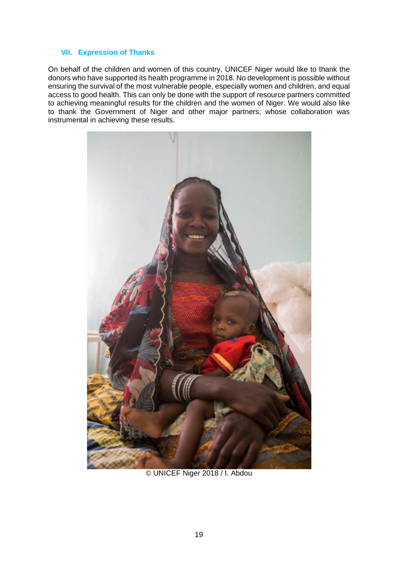#### <span id="page-18-0"></span>**VII. Expression of Thanks**

On behalf of the children and women of this country, UNICEF Niger would like to thank the donors who have supported its health programme in 2018. No development is possible without ensuring the survival of the most vulnerable people, especially women and children, and equal access to good health. This can only be done with the support of resource partners committed to achieving meaningful results for the children and the women of Niger. We would also like to thank the Government of Niger and other major partners; whose collaboration was instrumental in achieving these results.



© UNICEF Niger 2018 / I. Abdou